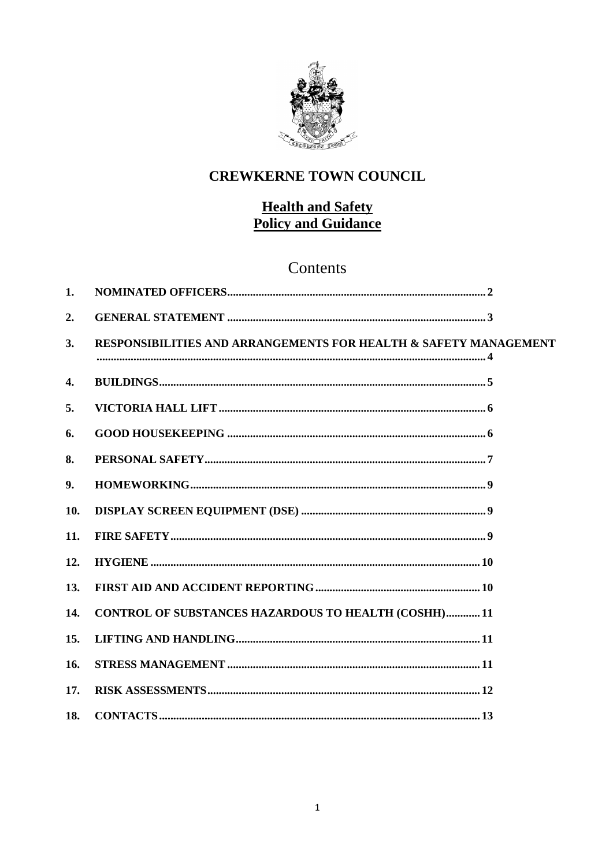

# **CREWKERNE TOWN COUNCIL**

# **Health and Safety Policy and Guidance**

# Contents

| 1.                 |                                                                  |
|--------------------|------------------------------------------------------------------|
| 2.                 |                                                                  |
| 3.                 | RESPONSIBILITIES AND ARRANGEMENTS FOR HEALTH & SAFETY MANAGEMENT |
| $\boldsymbol{4}$ . |                                                                  |
| 5.                 |                                                                  |
| 6.                 |                                                                  |
| 8.                 |                                                                  |
| 9.                 |                                                                  |
| 10.                |                                                                  |
| 11.                |                                                                  |
| 12.                |                                                                  |
| 13.                |                                                                  |
| 14.                | <b>CONTROL OF SUBSTANCES HAZARDOUS TO HEALTH (COSHH) 11</b>      |
| 15.                |                                                                  |
| 16.                |                                                                  |
| 17.                |                                                                  |
| 18.                |                                                                  |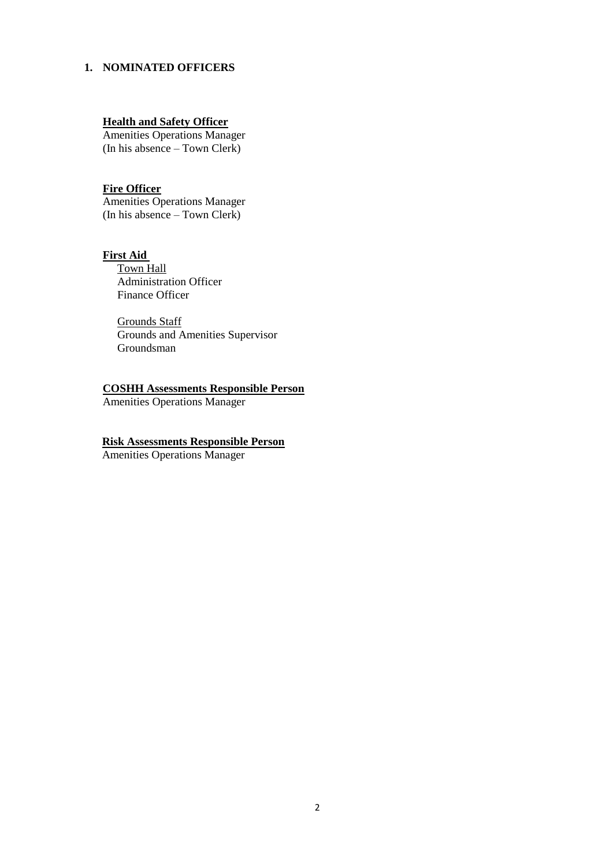#### <span id="page-1-0"></span>**1. NOMINATED OFFICERS**

## **Health and Safety Officer**

Amenities Operations Manager (In his absence – Town Clerk)

# **Fire Officer**

Amenities Operations Manager (In his absence – Town Clerk)

**First Aid**  Town Hall Administration Officer Finance Officer

> Grounds Staff Grounds and Amenities Supervisor Groundsman

# **COSHH Assessments Responsible Person**

Amenities Operations Manager

## **Risk Assessments Responsible Person**

Amenities Operations Manager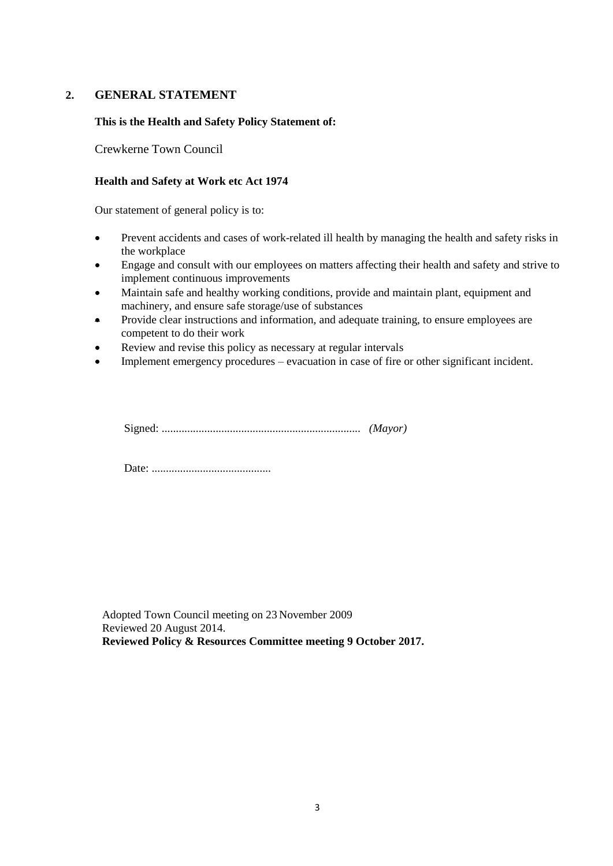# <span id="page-2-0"></span>**2. GENERAL STATEMENT**

# **This is the Health and Safety Policy Statement of:**

Crewkerne Town Council

## **Health and Safety at Work etc Act 1974**

Our statement of general policy is to:

- Prevent accidents and cases of work-related ill health by managing the health and safety risks in the workplace
- Engage and consult with our employees on matters affecting their health and safety and strive to implement continuous improvements
- Maintain safe and healthy working conditions, provide and maintain plant, equipment and machinery, and ensure safe storage/use of substances
- Provide clear instructions and information, and adequate training, to ensure employees are competent to do their work
- Review and revise this policy as necessary at regular intervals
- Implement emergency procedures evacuation in case of fire or other significant incident.

Signed: ...................................................................... *(Mayor)*

Date: ..........................................

Adopted Town Council meeting on 23 November 2009 Reviewed 20 August 2014. **Reviewed Policy & Resources Committee meeting 9 October 2017.**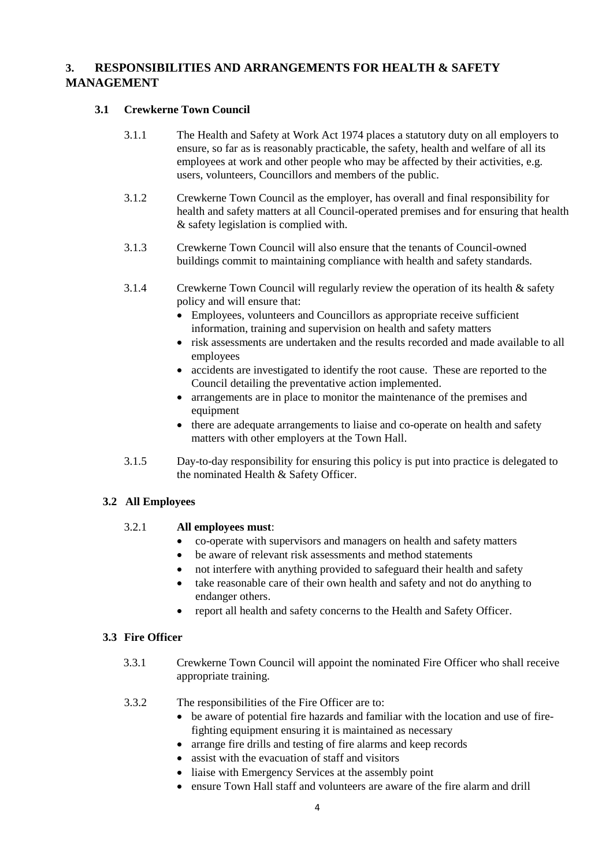# <span id="page-3-0"></span>**3. RESPONSIBILITIES AND ARRANGEMENTS FOR HEALTH & SAFETY MANAGEMENT**

# **3.1 Crewkerne Town Council**

- 3.1.1 The Health and Safety at Work Act 1974 places a statutory duty on all employers to ensure, so far as is reasonably practicable, the safety, health and welfare of all its employees at work and other people who may be affected by their activities, e.g. users, volunteers, Councillors and members of the public.
- 3.1.2 Crewkerne Town Council as the employer, has overall and final responsibility for health and safety matters at all Council-operated premises and for ensuring that health & safety legislation is complied with.
- 3.1.3 Crewkerne Town Council will also ensure that the tenants of Council-owned buildings commit to maintaining compliance with health and safety standards.
- 3.1.4 Crewkerne Town Council will regularly review the operation of its health & safety policy and will ensure that:
	- Employees, volunteers and Councillors as appropriate receive sufficient information, training and supervision on health and safety matters
	- risk assessments are undertaken and the results recorded and made available to all employees
	- accidents are investigated to identify the root cause. These are reported to the Council detailing the preventative action implemented.
	- arrangements are in place to monitor the maintenance of the premises and equipment
	- there are adequate arrangements to liaise and co-operate on health and safety matters with other employers at the Town Hall.
- 3.1.5 Day-to-day responsibility for ensuring this policy is put into practice is delegated to the nominated Health & Safety Officer.

# **3.2 All Employees**

# 3.2.1 **All employees must**:

- co-operate with supervisors and managers on health and safety matters
- be aware of relevant risk assessments and method statements
- not interfere with anything provided to safeguard their health and safety
- take reasonable care of their own health and safety and not do anything to endanger others.
- report all health and safety concerns to the Health and Safety Officer.

# **3.3 Fire Officer**

- 3.3.1 Crewkerne Town Council will appoint the nominated Fire Officer who shall receive appropriate training.
- 3.3.2 The responsibilities of the Fire Officer are to:
	- be aware of potential fire hazards and familiar with the location and use of firefighting equipment ensuring it is maintained as necessary
	- arrange fire drills and testing of fire alarms and keep records
	- assist with the evacuation of staff and visitors
	- liaise with Emergency Services at the assembly point
	- ensure Town Hall staff and volunteers are aware of the fire alarm and drill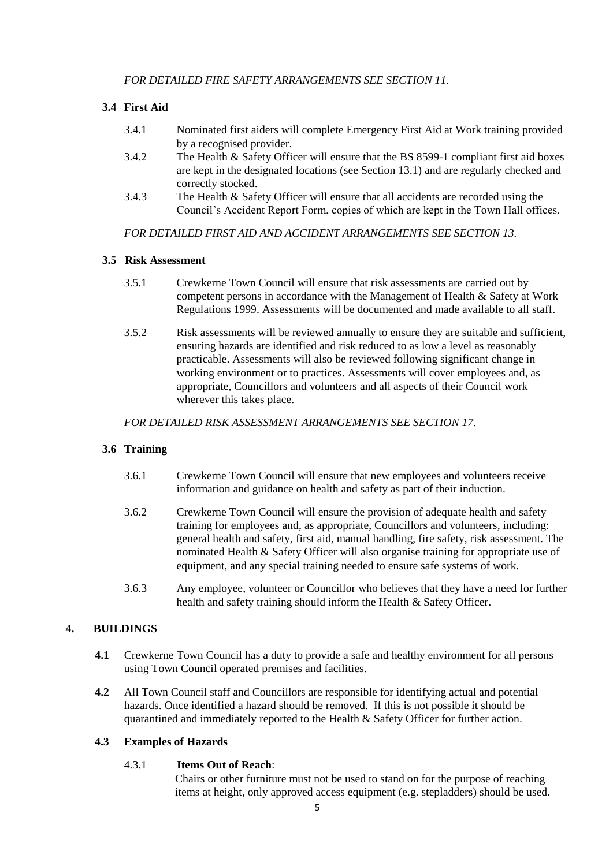# **3.4 First Aid**

- 3.4.1 Nominated first aiders will complete Emergency First Aid at Work training provided by a recognised provider.
- 3.4.2 The Health & Safety Officer will ensure that the BS 8599-1 compliant first aid boxes are kept in the designated locations (see Section 13.1) and are regularly checked and correctly stocked.
- 3.4.3 The Health & Safety Officer will ensure that all accidents are recorded using the Council's Accident Report Form, copies of which are kept in the Town Hall offices.

*FOR DETAILED FIRST AID AND ACCIDENT ARRANGEMENTS SEE SECTION 13.*

# **3.5 Risk Assessment**

- 3.5.1 Crewkerne Town Council will ensure that risk assessments are carried out by competent persons in accordance with the Management of Health & Safety at Work Regulations 1999. Assessments will be documented and made available to all staff.
- 3.5.2 Risk assessments will be reviewed annually to ensure they are suitable and sufficient, ensuring hazards are identified and risk reduced to as low a level as reasonably practicable. Assessments will also be reviewed following significant change in working environment or to practices. Assessments will cover employees and, as appropriate, Councillors and volunteers and all aspects of their Council work wherever this takes place.

*FOR DETAILED RISK ASSESSMENT ARRANGEMENTS SEE SECTION 17.*

# **3.6 Training**

- 3.6.1 Crewkerne Town Council will ensure that new employees and volunteers receive information and guidance on health and safety as part of their induction.
- 3.6.2 Crewkerne Town Council will ensure the provision of adequate health and safety training for employees and, as appropriate, Councillors and volunteers, including: general health and safety, first aid, manual handling, fire safety, risk assessment. The nominated Health & Safety Officer will also organise training for appropriate use of equipment, and any special training needed to ensure safe systems of work.
- 3.6.3 Any employee, volunteer or Councillor who believes that they have a need for further health and safety training should inform the Health & Safety Officer.

# <span id="page-4-0"></span>**4. BUILDINGS**

- **4.1** Crewkerne Town Council has a duty to provide a safe and healthy environment for all persons using Town Council operated premises and facilities.
- **4.2** All Town Council staff and Councillors are responsible for identifying actual and potential hazards. Once identified a hazard should be removed. If this is not possible it should be quarantined and immediately reported to the Health & Safety Officer for further action.

# **4.3 Examples of Hazards**

# 4.3.1 **Items Out of Reach**:

Chairs or other furniture must not be used to stand on for the purpose of reaching items at height, only approved access equipment (e.g. stepladders) should be used.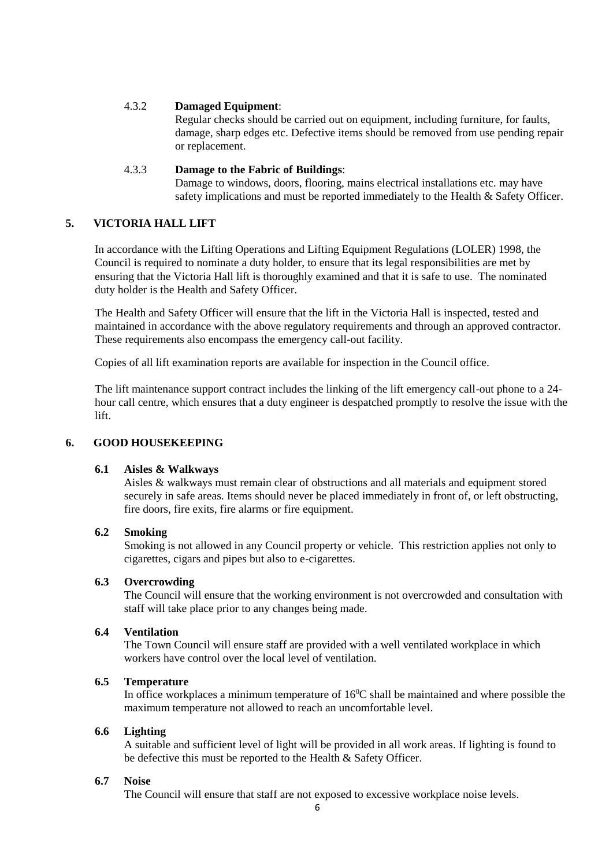## 4.3.2 **Damaged Equipment**:

Regular checks should be carried out on equipment, including furniture, for faults, damage, sharp edges etc. Defective items should be removed from use pending repair or replacement.

## 4.3.3 **Damage to the Fabric of Buildings**:

Damage to windows, doors, flooring, mains electrical installations etc. may have safety implications and must be reported immediately to the Health & Safety Officer.

# <span id="page-5-0"></span>**5. VICTORIA HALL LIFT**

In accordance with the Lifting Operations and Lifting Equipment Regulations (LOLER) 1998, the Council is required to nominate a duty holder, to ensure that its legal responsibilities are met by ensuring that the Victoria Hall lift is thoroughly examined and that it is safe to use. The nominated duty holder is the Health and Safety Officer.

The Health and Safety Officer will ensure that the lift in the Victoria Hall is inspected, tested and maintained in accordance with the above regulatory requirements and through an approved contractor. These requirements also encompass the emergency call-out facility.

Copies of all lift examination reports are available for inspection in the Council office.

The lift maintenance support contract includes the linking of the lift emergency call-out phone to a 24 hour call centre, which ensures that a duty engineer is despatched promptly to resolve the issue with the lift.

#### <span id="page-5-1"></span>**6. GOOD HOUSEKEEPING**

#### **6.1 Aisles & Walkways**

Aisles & walkways must remain clear of obstructions and all materials and equipment stored securely in safe areas. Items should never be placed immediately in front of, or left obstructing, fire doors, fire exits, fire alarms or fire equipment.

#### **6.2 Smoking**

Smoking is not allowed in any Council property or vehicle. This restriction applies not only to cigarettes, cigars and pipes but also to e-cigarettes.

## **6.3 Overcrowding**

The Council will ensure that the working environment is not overcrowded and consultation with staff will take place prior to any changes being made.

#### **6.4 Ventilation**

The Town Council will ensure staff are provided with a well ventilated workplace in which workers have control over the local level of ventilation.

#### **6.5 Temperature**

In office workplaces a minimum temperature of  $16^{\circ}$ C shall be maintained and where possible the maximum temperature not allowed to reach an uncomfortable level.

#### **6.6 Lighting**

A suitable and sufficient level of light will be provided in all work areas. If lighting is found to be defective this must be reported to the Health & Safety Officer.

## **6.7 Noise**

The Council will ensure that staff are not exposed to excessive workplace noise levels.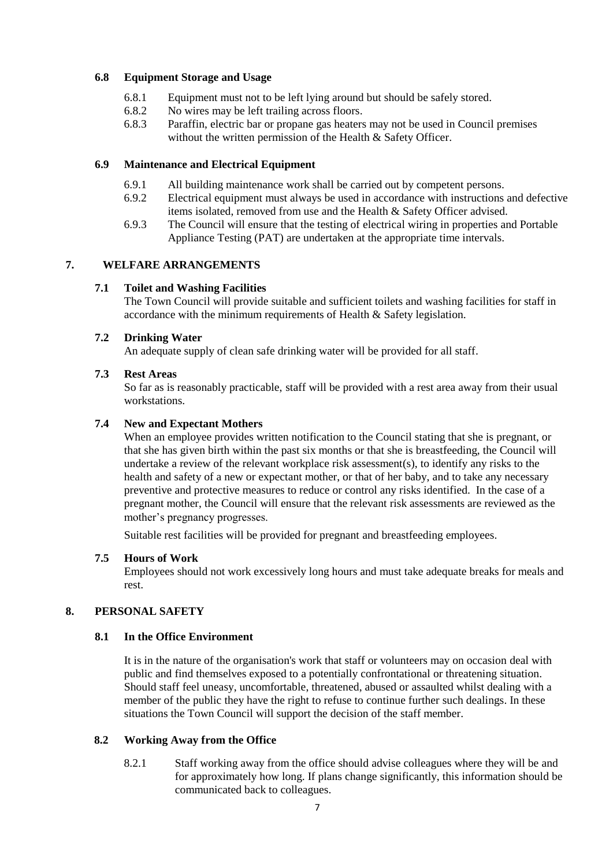## **6.8 Equipment Storage and Usage**

- 6.8.1 Equipment must not to be left lying around but should be safely stored.
- 6.8.2 No wires may be left trailing across floors.
- 6.8.3 Paraffin, electric bar or propane gas heaters may not be used in Council premises without the written permission of the Health & Safety Officer.

### **6.9 Maintenance and Electrical Equipment**

- 6.9.1 All building maintenance work shall be carried out by competent persons.<br>6.9.2 Electrical equipment must always be used in accordance with instructions
- Electrical equipment must always be used in accordance with instructions and defective items isolated, removed from use and the Health & Safety Officer advised.
- 6.9.3 The Council will ensure that the testing of electrical wiring in properties and Portable Appliance Testing (PAT) are undertaken at the appropriate time intervals.

# **7. WELFARE ARRANGEMENTS**

## **7.1 Toilet and Washing Facilities**

The Town Council will provide suitable and sufficient toilets and washing facilities for staff in accordance with the minimum requirements of Health & Safety legislation.

## **7.2 Drinking Water**

An adequate supply of clean safe drinking water will be provided for all staff.

## **7.3 Rest Areas**

So far as is reasonably practicable, staff will be provided with a rest area away from their usual workstations.

## **7.4 New and Expectant Mothers**

When an employee provides written notification to the Council stating that she is pregnant, or that she has given birth within the past six months or that she is breastfeeding, the Council will undertake a review of the relevant workplace risk assessment(s), to identify any risks to the health and safety of a new or expectant mother, or that of her baby, and to take any necessary preventive and protective measures to reduce or control any risks identified. In the case of a pregnant mother, the Council will ensure that the relevant risk assessments are reviewed as the mother's pregnancy progresses.

Suitable rest facilities will be provided for pregnant and breastfeeding employees.

#### **7.5 Hours of Work**

Employees should not work excessively long hours and must take adequate breaks for meals and rest.

# <span id="page-6-0"></span>**8. PERSONAL SAFETY**

#### **8.1 In the Office Environment**

It is in the nature of the organisation's work that staff or volunteers may on occasion deal with public and find themselves exposed to a potentially confrontational or threatening situation. Should staff feel uneasy, uncomfortable, threatened, abused or assaulted whilst dealing with a member of the public they have the right to refuse to continue further such dealings. In these situations the Town Council will support the decision of the staff member.

#### **8.2 Working Away from the Office**

8.2.1 Staff working away from the office should advise colleagues where they will be and for approximately how long. If plans change significantly, this information should be communicated back to colleagues.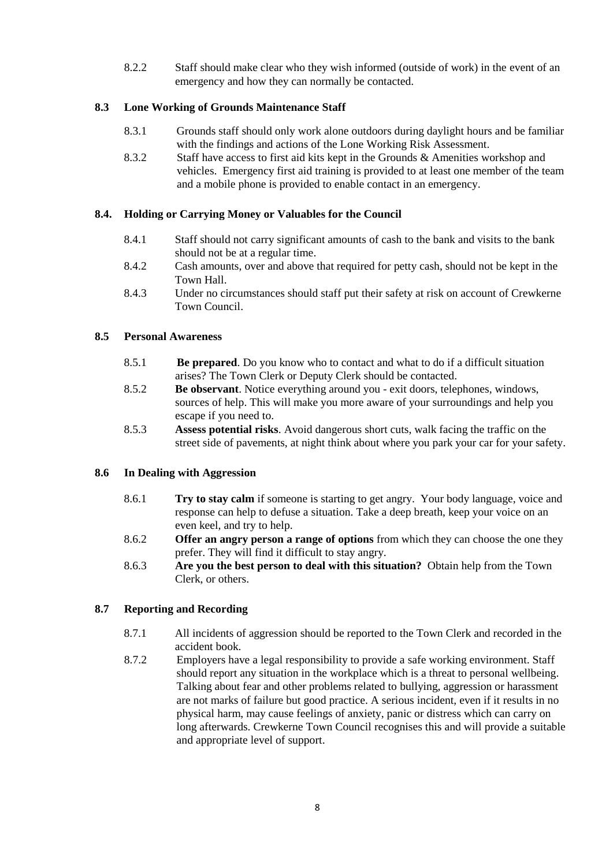8.2.2 Staff should make clear who they wish informed (outside of work) in the event of an emergency and how they can normally be contacted.

## **8.3 Lone Working of Grounds Maintenance Staff**

- 8.3.1 Grounds staff should only work alone outdoors during daylight hours and be familiar with the findings and actions of the Lone Working Risk Assessment.
- 8.3.2 Staff have access to first aid kits kept in the Grounds & Amenities workshop and vehicles. Emergency first aid training is provided to at least one member of the team and a mobile phone is provided to enable contact in an emergency.

## **8.4. Holding or Carrying Money or Valuables for the Council**

- 8.4.1 Staff should not carry significant amounts of cash to the bank and visits to the bank should not be at a regular time.
- 8.4.2 Cash amounts, over and above that required for petty cash, should not be kept in the Town Hall.
- 8.4.3 Under no circumstances should staff put their safety at risk on account of Crewkerne Town Council.

#### **8.5 Personal Awareness**

- 8.5.1 **Be prepared**. Do you know who to contact and what to do if a difficult situation arises? The Town Clerk or Deputy Clerk should be contacted.
- 8.5.2 **Be observant**. Notice everything around you exit doors, telephones, windows, sources of help. This will make you more aware of your surroundings and help you escape if you need to.
- 8.5.3 **Assess potential risks**. Avoid dangerous short cuts, walk facing the traffic on the street side of pavements, at night think about where you park your car for your safety.

#### **8.6 In Dealing with Aggression**

- 8.6.1 **Try to stay calm** if someone is starting to get angry. Your body language, voice and response can help to defuse a situation. Take a deep breath, keep your voice on an even keel, and try to help.
- 8.6.2 **Offer an angry person a range of options** from which they can choose the one they prefer. They will find it difficult to stay angry.
- 8.6.3 **Are you the best person to deal with this situation?** Obtain help from the Town Clerk, or others.

#### **8.7 Reporting and Recording**

- 8.7.1 All incidents of aggression should be reported to the Town Clerk and recorded in the accident book.
- 8.7.2 Employers have a legal responsibility to provide a safe working environment. Staff should report any situation in the workplace which is a threat to personal wellbeing. Talking about fear and other problems related to bullying, aggression or harassment are not marks of failure but good practice. A serious incident, even if it results in no physical harm, may cause feelings of anxiety, panic or distress which can carry on long afterwards. Crewkerne Town Council recognises this and will provide a suitable and appropriate level of support.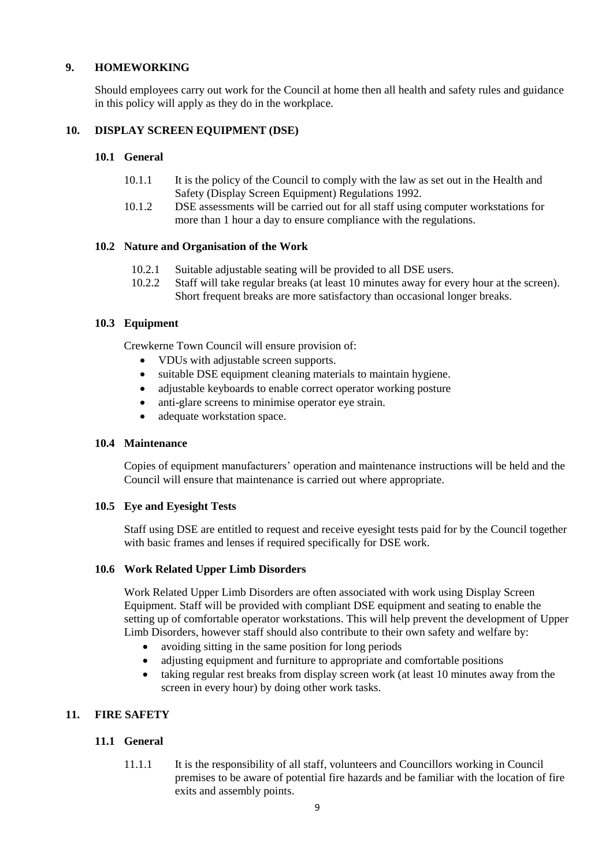## <span id="page-8-0"></span>**9. HOMEWORKING**

Should employees carry out work for the Council at home then all health and safety rules and guidance in this policy will apply as they do in the workplace.

## <span id="page-8-1"></span>**10. DISPLAY SCREEN EQUIPMENT (DSE)**

### **10.1 General**

- 10.1.1 It is the policy of the Council to comply with the law as set out in the Health and Safety (Display Screen Equipment) Regulations 1992.
- 10.1.2 DSE assessments will be carried out for all staff using computer workstations for more than 1 hour a day to ensure compliance with the regulations.

#### **10.2 Nature and Organisation of the Work**

- 10.2.1 Suitable adjustable seating will be provided to all DSE users.
- 10.2.2 Staff will take regular breaks (at least 10 minutes away for every hour at the screen). Short frequent breaks are more satisfactory than occasional longer breaks.

## **10.3 Equipment**

Crewkerne Town Council will ensure provision of:

- VDUs with adjustable screen supports.
- suitable DSE equipment cleaning materials to maintain hygiene.
- adjustable keyboards to enable correct operator working posture
- anti-glare screens to minimise operator eye strain.
- adequate workstation space.

#### **10.4 Maintenance**

Copies of equipment manufacturers' operation and maintenance instructions will be held and the Council will ensure that maintenance is carried out where appropriate.

#### **10.5 Eye and Eyesight Tests**

Staff using DSE are entitled to request and receive eyesight tests paid for by the Council together with basic frames and lenses if required specifically for DSE work.

#### **10.6 Work Related Upper Limb Disorders**

Work Related Upper Limb Disorders are often associated with work using Display Screen Equipment. Staff will be provided with compliant DSE equipment and seating to enable the setting up of comfortable operator workstations. This will help prevent the development of Upper Limb Disorders, however staff should also contribute to their own safety and welfare by:

- avoiding sitting in the same position for long periods
- adjusting equipment and furniture to appropriate and comfortable positions
- taking regular rest breaks from display screen work (at least 10 minutes away from the screen in every hour) by doing other work tasks.

# <span id="page-8-2"></span>**11. FIRE SAFETY**

# **11.1 General**

11.1.1 It is the responsibility of all staff, volunteers and Councillors working in Council premises to be aware of potential fire hazards and be familiar with the location of fire exits and assembly points.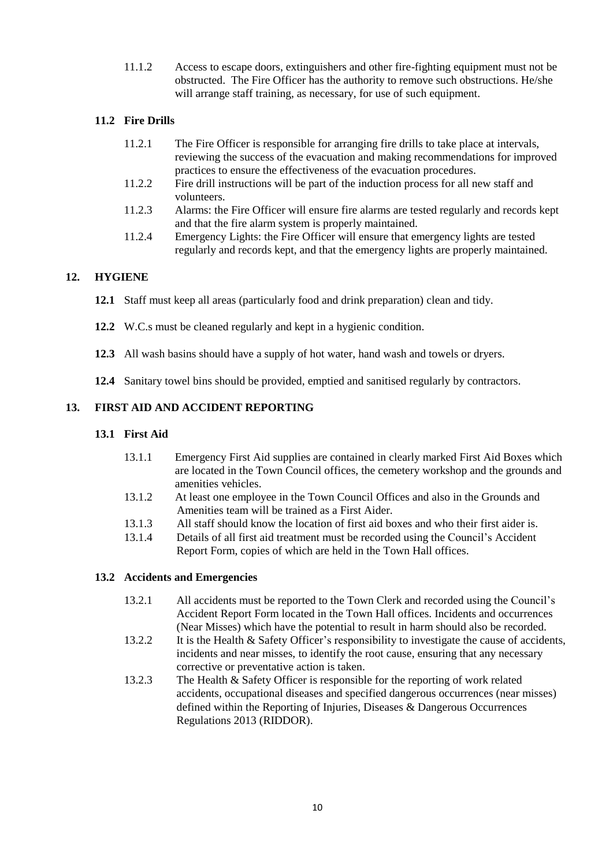11.1.2 Access to escape doors, extinguishers and other fire-fighting equipment must not be obstructed. The Fire Officer has the authority to remove such obstructions. He/she will arrange staff training, as necessary, for use of such equipment.

# **11.2 Fire Drills**

- 11.2.1 The Fire Officer is responsible for arranging fire drills to take place at intervals, reviewing the success of the evacuation and making recommendations for improved practices to ensure the effectiveness of the evacuation procedures.
- 11.2.2 Fire drill instructions will be part of the induction process for all new staff and volunteers.
- 11.2.3 Alarms: the Fire Officer will ensure fire alarms are tested regularly and records kept and that the fire alarm system is properly maintained.
- 11.2.4 Emergency Lights: the Fire Officer will ensure that emergency lights are tested regularly and records kept, and that the emergency lights are properly maintained.

# <span id="page-9-0"></span>**12. HYGIENE**

- **12.1** Staff must keep all areas (particularly food and drink preparation) clean and tidy.
- **12.2** W.C.s must be cleaned regularly and kept in a hygienic condition.
- **12.3** All wash basins should have a supply of hot water, hand wash and towels or dryers.
- **12.4** Sanitary towel bins should be provided, emptied and sanitised regularly by contractors.

# <span id="page-9-1"></span>**13. FIRST AID AND ACCIDENT REPORTING**

### **13.1 First Aid**

- 13.1.1 Emergency First Aid supplies are contained in clearly marked First Aid Boxes which are located in the Town Council offices, the cemetery workshop and the grounds and amenities vehicles.
- 13.1.2 At least one employee in the Town Council Offices and also in the Grounds and Amenities team will be trained as a First Aider.
- 13.1.3 All staff should know the location of first aid boxes and who their first aider is.
- 13.1.4 Details of all first aid treatment must be recorded using the Council's Accident Report Form, copies of which are held in the Town Hall offices.

#### **13.2 Accidents and Emergencies**

- 13.2.1 All accidents must be reported to the Town Clerk and recorded using the Council's Accident Report Form located in the Town Hall offices. Incidents and occurrences (Near Misses) which have the potential to result in harm should also be recorded.
- 13.2.2 It is the Health & Safety Officer's responsibility to investigate the cause of accidents, incidents and near misses, to identify the root cause, ensuring that any necessary corrective or preventative action is taken.
- 13.2.3 The Health & Safety Officer is responsible for the reporting of work related accidents, occupational diseases and specified dangerous occurrences (near misses) defined within the Reporting of Injuries, Diseases & Dangerous Occurrences Regulations 2013 (RIDDOR).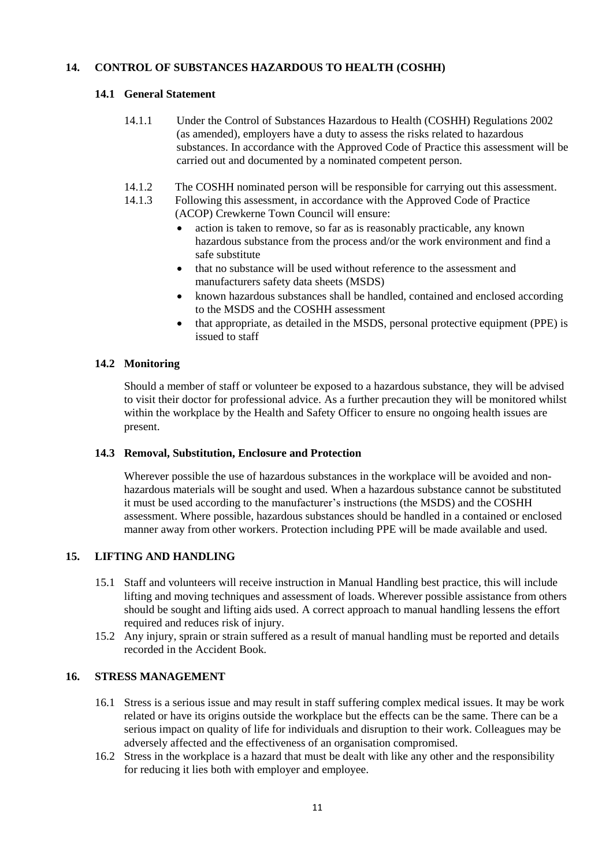## <span id="page-10-0"></span>**14. CONTROL OF SUBSTANCES HAZARDOUS TO HEALTH (COSHH)**

## **14.1 General Statement**

- 14.1.1 Under the Control of Substances Hazardous to Health (COSHH) Regulations 2002 (as amended), employers have a duty to assess the risks related to hazardous substances. In accordance with the Approved Code of Practice this assessment will be carried out and documented by a nominated competent person.
- 14.1.2 The COSHH nominated person will be responsible for carrying out this assessment.
- 14.1.3 Following this assessment, in accordance with the Approved Code of Practice (ACOP) Crewkerne Town Council will ensure:
	- action is taken to remove, so far as is reasonably practicable, any known hazardous substance from the process and/or the work environment and find a safe substitute
	- that no substance will be used without reference to the assessment and manufacturers safety data sheets (MSDS)
	- known hazardous substances shall be handled, contained and enclosed according to the MSDS and the COSHH assessment
	- that appropriate, as detailed in the MSDS, personal protective equipment (PPE) is issued to staff

## **14.2 Monitoring**

Should a member of staff or volunteer be exposed to a hazardous substance, they will be advised to visit their doctor for professional advice. As a further precaution they will be monitored whilst within the workplace by the Health and Safety Officer to ensure no ongoing health issues are present.

#### **14.3 Removal, Substitution, Enclosure and Protection**

Wherever possible the use of hazardous substances in the workplace will be avoided and nonhazardous materials will be sought and used. When a hazardous substance cannot be substituted it must be used according to the manufacturer's instructions (the MSDS) and the COSHH assessment. Where possible, hazardous substances should be handled in a contained or enclosed manner away from other workers. Protection including PPE will be made available and used.

# <span id="page-10-1"></span>**15. LIFTING AND HANDLING**

- 15.1 Staff and volunteers will receive instruction in Manual Handling best practice, this will include lifting and moving techniques and assessment of loads. Wherever possible assistance from others should be sought and lifting aids used. A correct approach to manual handling lessens the effort required and reduces risk of injury.
- 15.2 Any injury, sprain or strain suffered as a result of manual handling must be reported and details recorded in the Accident Book.

#### <span id="page-10-2"></span>**16. STRESS MANAGEMENT**

- 16.1 Stress is a serious issue and may result in staff suffering complex medical issues. It may be work related or have its origins outside the workplace but the effects can be the same. There can be a serious impact on quality of life for individuals and disruption to their work. Colleagues may be adversely affected and the effectiveness of an organisation compromised.
- 16.2 Stress in the workplace is a hazard that must be dealt with like any other and the responsibility for reducing it lies both with employer and employee.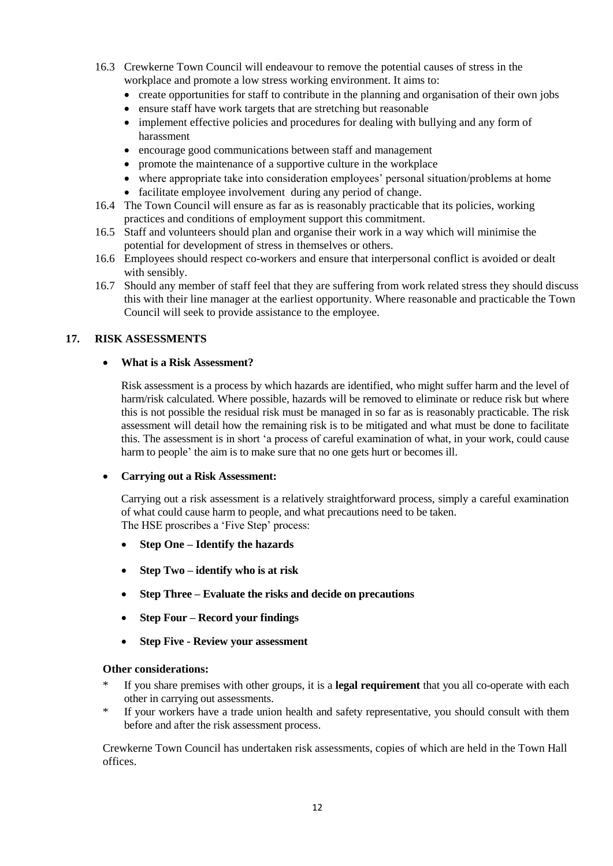- 16.3 Crewkerne Town Council will endeavour to remove the potential causes of stress in the workplace and promote a low stress working environment. It aims to:
	- create opportunities for staff to contribute in the planning and organisation of their own jobs
	- ensure staff have work targets that are stretching but reasonable
	- implement effective policies and procedures for dealing with bullying and any form of harassment
	- encourage good communications between staff and management
	- promote the maintenance of a supportive culture in the workplace
	- where appropriate take into consideration employees' personal situation/problems at home
	- facilitate employee involvement during any period of change.
- 16.4 The Town Council will ensure as far as is reasonably practicable that its policies, working practices and conditions of employment support this commitment.
- 16.5 Staff and volunteers should plan and organise their work in a way which will minimise the potential for development of stress in themselves or others.
- 16.6 Employees should respect co-workers and ensure that interpersonal conflict is avoided or dealt with sensibly.
- 16.7 Should any member of staff feel that they are suffering from work related stress they should discuss this with their line manager at the earliest opportunity. Where reasonable and practicable the Town Council will seek to provide assistance to the employee.

## <span id="page-11-0"></span>**17. RISK ASSESSMENTS**

## **What is a Risk Assessment?**

Risk assessment is a process by which hazards are identified, who might suffer harm and the level of harm/risk calculated. Where possible, hazards will be removed to eliminate or reduce risk but where this is not possible the residual risk must be managed in so far as is reasonably practicable. The risk assessment will detail how the remaining risk is to be mitigated and what must be done to facilitate this. The assessment is in short 'a process of careful examination of what, in your work, could cause harm to people' the aim is to make sure that no one gets hurt or becomes ill.

#### **Carrying out a Risk Assessment:**

Carrying out a risk assessment is a relatively straightforward process, simply a careful examination of what could cause harm to people, and what precautions need to be taken. The HSE proscribes a 'Five Step' process:

- **Step One – Identify the hazards**
- **Step Two – identify who is at risk**
- **Step Three – Evaluate the risks and decide on precautions**
- **Step Four – Record your findings**
- **Step Five - Review your assessment**

#### **Other considerations:**

- If you share premises with other groups, it is a **legal requirement** that you all co-operate with each other in carrying out assessments.
- If your workers have a trade union health and safety representative, you should consult with them before and after the risk assessment process.

Crewkerne Town Council has undertaken risk assessments, copies of which are held in the Town Hall offices.